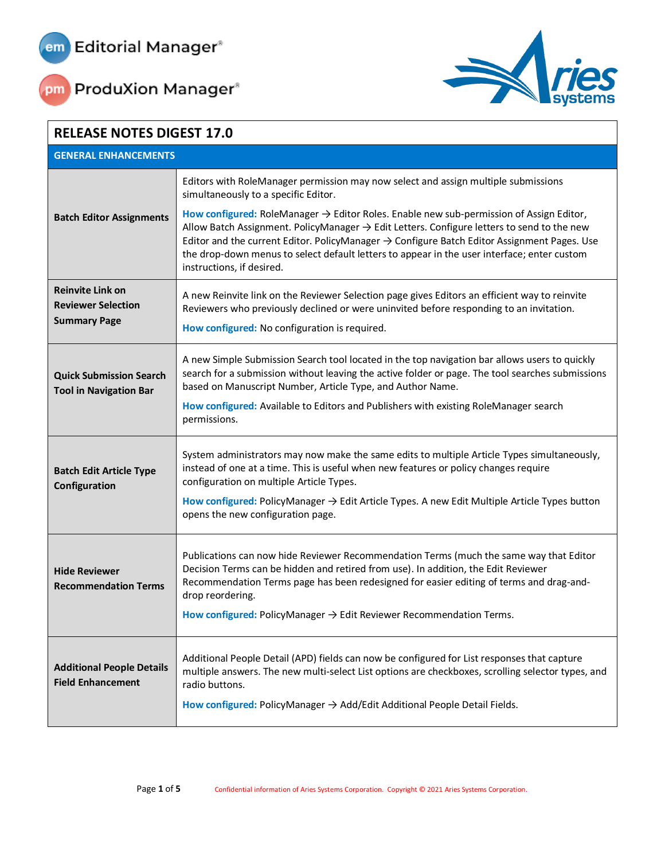





| <b>RELEASE NOTES DIGEST 17.0</b>                                            |                                                                                                                                                                                                                                                                                                                                                                                                                                                      |  |
|-----------------------------------------------------------------------------|------------------------------------------------------------------------------------------------------------------------------------------------------------------------------------------------------------------------------------------------------------------------------------------------------------------------------------------------------------------------------------------------------------------------------------------------------|--|
| <b>GENERAL ENHANCEMENTS</b>                                                 |                                                                                                                                                                                                                                                                                                                                                                                                                                                      |  |
|                                                                             | Editors with RoleManager permission may now select and assign multiple submissions<br>simultaneously to a specific Editor.                                                                                                                                                                                                                                                                                                                           |  |
| <b>Batch Editor Assignments</b>                                             | How configured: RoleManager $\rightarrow$ Editor Roles. Enable new sub-permission of Assign Editor,<br>Allow Batch Assignment. PolicyManager $\rightarrow$ Edit Letters. Configure letters to send to the new<br>Editor and the current Editor. PolicyManager $\rightarrow$ Configure Batch Editor Assignment Pages. Use<br>the drop-down menus to select default letters to appear in the user interface; enter custom<br>instructions, if desired. |  |
| <b>Reinvite Link on</b><br><b>Reviewer Selection</b><br><b>Summary Page</b> | A new Reinvite link on the Reviewer Selection page gives Editors an efficient way to reinvite<br>Reviewers who previously declined or were uninvited before responding to an invitation.<br>How configured: No configuration is required.                                                                                                                                                                                                            |  |
| <b>Quick Submission Search</b><br><b>Tool in Navigation Bar</b>             | A new Simple Submission Search tool located in the top navigation bar allows users to quickly<br>search for a submission without leaving the active folder or page. The tool searches submissions<br>based on Manuscript Number, Article Type, and Author Name.<br>How configured: Available to Editors and Publishers with existing RoleManager search<br>permissions.                                                                              |  |
| <b>Batch Edit Article Type</b><br>Configuration                             | System administrators may now make the same edits to multiple Article Types simultaneously,<br>instead of one at a time. This is useful when new features or policy changes require<br>configuration on multiple Article Types.<br>How configured: PolicyManager → Edit Article Types. A new Edit Multiple Article Types button<br>opens the new configuration page.                                                                                 |  |
| <b>Hide Reviewer</b><br><b>Recommendation Terms</b>                         | Publications can now hide Reviewer Recommendation Terms (much the same way that Editor<br>Decision Terms can be hidden and retired from use). In addition, the Edit Reviewer<br>Recommendation Terms page has been redesigned for easier editing of terms and drag-and-<br>drop reordering.<br>How configured: PolicyManager $\rightarrow$ Edit Reviewer Recommendation Terms.                                                                       |  |
| <b>Additional People Details</b><br><b>Field Enhancement</b>                | Additional People Detail (APD) fields can now be configured for List responses that capture<br>multiple answers. The new multi-select List options are checkboxes, scrolling selector types, and<br>radio buttons.<br>How configured: PolicyManager $\rightarrow$ Add/Edit Additional People Detail Fields.                                                                                                                                          |  |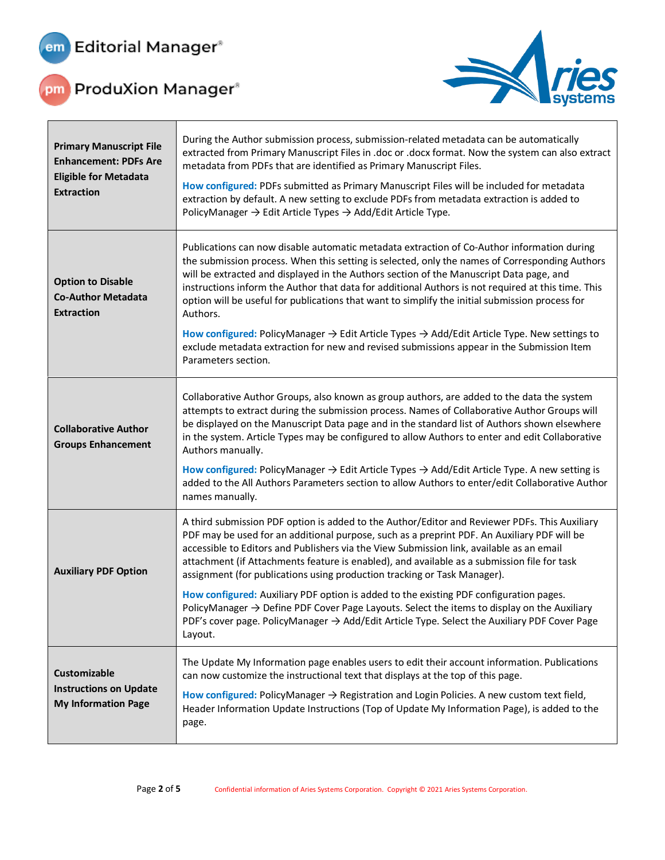

 $\Gamma$ 



| <b>Primary Manuscript File</b><br><b>Enhancement: PDFs Are</b><br><b>Eligible for Metadata</b><br><b>Extraction</b> | During the Author submission process, submission-related metadata can be automatically<br>extracted from Primary Manuscript Files in .doc or .docx format. Now the system can also extract<br>metadata from PDFs that are identified as Primary Manuscript Files.<br>How configured: PDFs submitted as Primary Manuscript Files will be included for metadata<br>extraction by default. A new setting to exclude PDFs from metadata extraction is added to<br>PolicyManager $\rightarrow$ Edit Article Types $\rightarrow$ Add/Edit Article Type.                                                                                                                                                                                                                                   |
|---------------------------------------------------------------------------------------------------------------------|-------------------------------------------------------------------------------------------------------------------------------------------------------------------------------------------------------------------------------------------------------------------------------------------------------------------------------------------------------------------------------------------------------------------------------------------------------------------------------------------------------------------------------------------------------------------------------------------------------------------------------------------------------------------------------------------------------------------------------------------------------------------------------------|
| <b>Option to Disable</b><br><b>Co-Author Metadata</b><br><b>Extraction</b>                                          | Publications can now disable automatic metadata extraction of Co-Author information during<br>the submission process. When this setting is selected, only the names of Corresponding Authors<br>will be extracted and displayed in the Authors section of the Manuscript Data page, and<br>instructions inform the Author that data for additional Authors is not required at this time. This<br>option will be useful for publications that want to simplify the initial submission process for<br>Authors.<br>How configured: PolicyManager $\rightarrow$ Edit Article Types $\rightarrow$ Add/Edit Article Type. New settings to<br>exclude metadata extraction for new and revised submissions appear in the Submission Item<br>Parameters section.                             |
| <b>Collaborative Author</b><br><b>Groups Enhancement</b>                                                            | Collaborative Author Groups, also known as group authors, are added to the data the system<br>attempts to extract during the submission process. Names of Collaborative Author Groups will<br>be displayed on the Manuscript Data page and in the standard list of Authors shown elsewhere<br>in the system. Article Types may be configured to allow Authors to enter and edit Collaborative<br>Authors manually.<br>How configured: PolicyManager $\rightarrow$ Edit Article Types $\rightarrow$ Add/Edit Article Type. A new setting is<br>added to the All Authors Parameters section to allow Authors to enter/edit Collaborative Author<br>names manually.                                                                                                                    |
| <b>Auxiliary PDF Option</b>                                                                                         | A third submission PDF option is added to the Author/Editor and Reviewer PDFs. This Auxiliary<br>PDF may be used for an additional purpose, such as a preprint PDF. An Auxiliary PDF will be<br>accessible to Editors and Publishers via the View Submission link, available as an email<br>attachment (if Attachments feature is enabled), and available as a submission file for task<br>assignment (for publications using production tracking or Task Manager).<br>How configured: Auxiliary PDF option is added to the existing PDF configuration pages.<br>PolicyManager $\rightarrow$ Define PDF Cover Page Layouts. Select the items to display on the Auxiliary<br>PDF's cover page. PolicyManager → Add/Edit Article Type. Select the Auxiliary PDF Cover Page<br>Layout. |
| Customizable<br><b>Instructions on Update</b><br><b>My Information Page</b>                                         | The Update My Information page enables users to edit their account information. Publications<br>can now customize the instructional text that displays at the top of this page.<br>How configured: PolicyManager $\rightarrow$ Registration and Login Policies. A new custom text field,<br>Header Information Update Instructions (Top of Update My Information Page), is added to the<br>page.                                                                                                                                                                                                                                                                                                                                                                                    |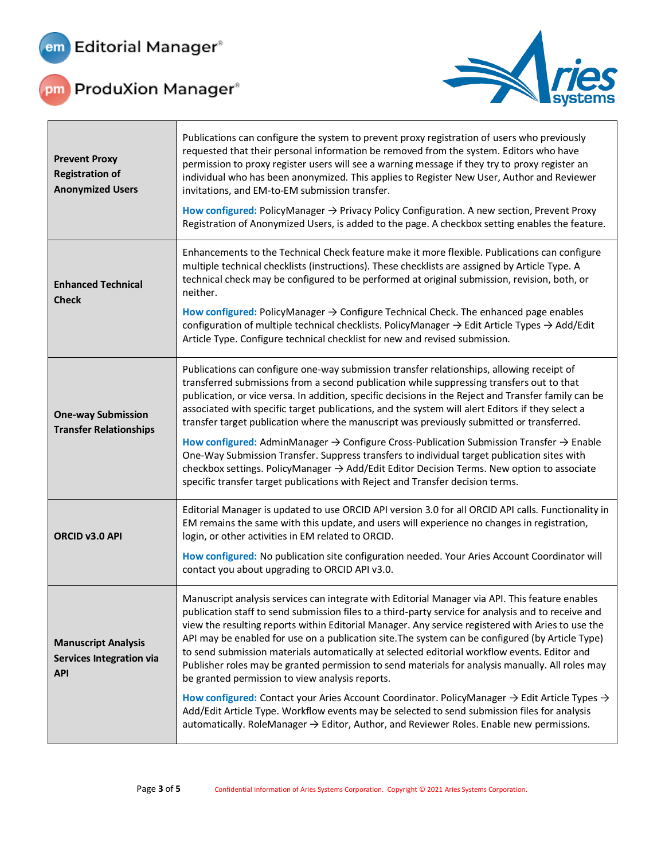

 $\Gamma$ 



| <b>Prevent Proxy</b><br><b>Registration of</b><br><b>Anonymized Users</b>   | Publications can configure the system to prevent proxy registration of users who previously<br>requested that their personal information be removed from the system. Editors who have<br>permission to proxy register users will see a warning message if they try to proxy register an<br>individual who has been anonymized. This applies to Register New User, Author and Reviewer<br>invitations, and EM-to-EM submission transfer.<br>How configured: PolicyManager $\rightarrow$ Privacy Policy Configuration. A new section, Prevent Proxy<br>Registration of Anonymized Users, is added to the page. A checkbox setting enables the feature.                                                                                                                                                                                                                                                                                                                                                   |
|-----------------------------------------------------------------------------|--------------------------------------------------------------------------------------------------------------------------------------------------------------------------------------------------------------------------------------------------------------------------------------------------------------------------------------------------------------------------------------------------------------------------------------------------------------------------------------------------------------------------------------------------------------------------------------------------------------------------------------------------------------------------------------------------------------------------------------------------------------------------------------------------------------------------------------------------------------------------------------------------------------------------------------------------------------------------------------------------------|
| <b>Enhanced Technical</b><br><b>Check</b>                                   | Enhancements to the Technical Check feature make it more flexible. Publications can configure<br>multiple technical checklists (instructions). These checklists are assigned by Article Type. A<br>technical check may be configured to be performed at original submission, revision, both, or<br>neither.<br>How configured: PolicyManager $\rightarrow$ Configure Technical Check. The enhanced page enables<br>configuration of multiple technical checklists. PolicyManager $\rightarrow$ Edit Article Types $\rightarrow$ Add/Edit<br>Article Type. Configure technical checklist for new and revised submission.                                                                                                                                                                                                                                                                                                                                                                                |
| <b>One-way Submission</b><br><b>Transfer Relationships</b>                  | Publications can configure one-way submission transfer relationships, allowing receipt of<br>transferred submissions from a second publication while suppressing transfers out to that<br>publication, or vice versa. In addition, specific decisions in the Reject and Transfer family can be<br>associated with specific target publications, and the system will alert Editors if they select a<br>transfer target publication where the manuscript was previously submitted or transferred.<br>How configured: AdminManager $\rightarrow$ Configure Cross-Publication Submission Transfer $\rightarrow$ Enable<br>One-Way Submission Transfer. Suppress transfers to individual target publication sites with<br>checkbox settings. PolicyManager → Add/Edit Editor Decision Terms. New option to associate<br>specific transfer target publications with Reject and Transfer decision terms.                                                                                                      |
| ORCID v3.0 API                                                              | Editorial Manager is updated to use ORCID API version 3.0 for all ORCID API calls. Functionality in<br>EM remains the same with this update, and users will experience no changes in registration,<br>login, or other activities in EM related to ORCID.<br>How configured: No publication site configuration needed. Your Aries Account Coordinator will<br>contact you about upgrading to ORCID API v3.0.                                                                                                                                                                                                                                                                                                                                                                                                                                                                                                                                                                                            |
| <b>Manuscript Analysis</b><br><b>Services Integration via</b><br><b>API</b> | Manuscript analysis services can integrate with Editorial Manager via API. This feature enables<br>publication staff to send submission files to a third-party service for analysis and to receive and<br>view the resulting reports within Editorial Manager. Any service registered with Aries to use the<br>API may be enabled for use on a publication site. The system can be configured (by Article Type)<br>to send submission materials automatically at selected editorial workflow events. Editor and<br>Publisher roles may be granted permission to send materials for analysis manually. All roles may<br>be granted permission to view analysis reports.<br>How configured: Contact your Aries Account Coordinator. PolicyManager $\rightarrow$ Edit Article Types $\rightarrow$<br>Add/Edit Article Type. Workflow events may be selected to send submission files for analysis<br>automatically. RoleManager $\rightarrow$ Editor, Author, and Reviewer Roles. Enable new permissions. |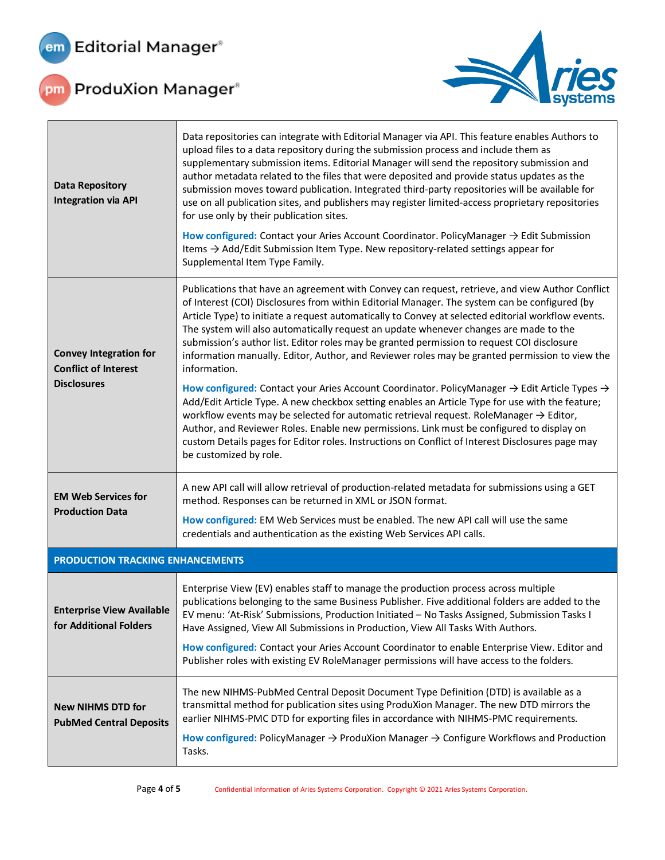



| <b>Data Repository</b><br><b>Integration via API</b>                               | Data repositories can integrate with Editorial Manager via API. This feature enables Authors to<br>upload files to a data repository during the submission process and include them as<br>supplementary submission items. Editorial Manager will send the repository submission and<br>author metadata related to the files that were deposited and provide status updates as the<br>submission moves toward publication. Integrated third-party repositories will be available for<br>use on all publication sites, and publishers may register limited-access proprietary repositories<br>for use only by their publication sites.<br>How configured: Contact your Aries Account Coordinator. PolicyManager $\rightarrow$ Edit Submission<br>Items → Add/Edit Submission Item Type. New repository-related settings appear for<br>Supplemental Item Type Family. |  |
|------------------------------------------------------------------------------------|--------------------------------------------------------------------------------------------------------------------------------------------------------------------------------------------------------------------------------------------------------------------------------------------------------------------------------------------------------------------------------------------------------------------------------------------------------------------------------------------------------------------------------------------------------------------------------------------------------------------------------------------------------------------------------------------------------------------------------------------------------------------------------------------------------------------------------------------------------------------|--|
| <b>Convey Integration for</b><br><b>Conflict of Interest</b><br><b>Disclosures</b> | Publications that have an agreement with Convey can request, retrieve, and view Author Conflict<br>of Interest (COI) Disclosures from within Editorial Manager. The system can be configured (by<br>Article Type) to initiate a request automatically to Convey at selected editorial workflow events.<br>The system will also automatically request an update whenever changes are made to the<br>submission's author list. Editor roles may be granted permission to request COI disclosure<br>information manually. Editor, Author, and Reviewer roles may be granted permission to view the<br>information.                                                                                                                                                                                                                                                    |  |
|                                                                                    | How configured: Contact your Aries Account Coordinator. PolicyManager $\rightarrow$ Edit Article Types $\rightarrow$<br>Add/Edit Article Type. A new checkbox setting enables an Article Type for use with the feature;<br>workflow events may be selected for automatic retrieval request. RoleManager $\rightarrow$ Editor,<br>Author, and Reviewer Roles. Enable new permissions. Link must be configured to display on<br>custom Details pages for Editor roles. Instructions on Conflict of Interest Disclosures page may<br>be customized by role.                                                                                                                                                                                                                                                                                                           |  |
| <b>EM Web Services for</b><br><b>Production Data</b>                               | A new API call will allow retrieval of production-related metadata for submissions using a GET<br>method. Responses can be returned in XML or JSON format.                                                                                                                                                                                                                                                                                                                                                                                                                                                                                                                                                                                                                                                                                                         |  |
|                                                                                    | How configured: EM Web Services must be enabled. The new API call will use the same<br>credentials and authentication as the existing Web Services API calls.                                                                                                                                                                                                                                                                                                                                                                                                                                                                                                                                                                                                                                                                                                      |  |
| PRODUCTION TRACKING ENHANCEMENTS                                                   |                                                                                                                                                                                                                                                                                                                                                                                                                                                                                                                                                                                                                                                                                                                                                                                                                                                                    |  |
| <b>Enterprise View Available</b><br>for Additional Folders                         | Enterprise View (EV) enables staff to manage the production process across multiple<br>publications belonging to the same Business Publisher. Five additional folders are added to the<br>EV menu: 'At-Risk' Submissions, Production Initiated - No Tasks Assigned, Submission Tasks I<br>Have Assigned, View All Submissions in Production, View All Tasks With Authors.                                                                                                                                                                                                                                                                                                                                                                                                                                                                                          |  |
|                                                                                    | How configured: Contact your Aries Account Coordinator to enable Enterprise View. Editor and<br>Publisher roles with existing EV RoleManager permissions will have access to the folders.                                                                                                                                                                                                                                                                                                                                                                                                                                                                                                                                                                                                                                                                          |  |
| <b>New NIHMS DTD for</b><br><b>PubMed Central Deposits</b>                         | The new NIHMS-PubMed Central Deposit Document Type Definition (DTD) is available as a<br>transmittal method for publication sites using ProduXion Manager. The new DTD mirrors the<br>earlier NIHMS-PMC DTD for exporting files in accordance with NIHMS-PMC requirements.                                                                                                                                                                                                                                                                                                                                                                                                                                                                                                                                                                                         |  |
|                                                                                    | How configured: PolicyManager $\rightarrow$ ProduXion Manager $\rightarrow$ Configure Workflows and Production<br>Tasks.                                                                                                                                                                                                                                                                                                                                                                                                                                                                                                                                                                                                                                                                                                                                           |  |